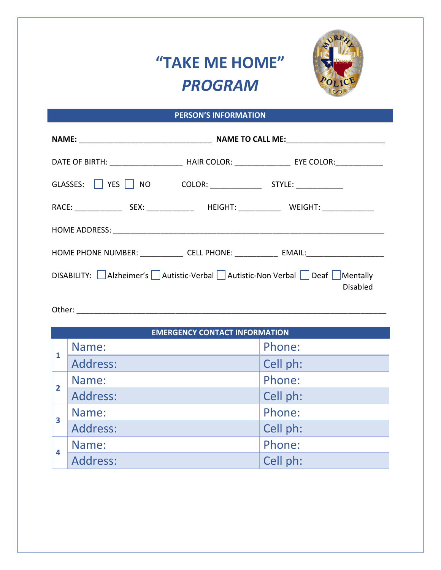## **"TAKE ME HOME"**  *PROGRAM*



## **PERSON'S INFORMATION**

| DATE OF BIRTH: _______________________________HAIR COLOR: _______________________ EYE COLOR: ________________ |  |  |  |  |
|---------------------------------------------------------------------------------------------------------------|--|--|--|--|
|                                                                                                               |  |  |  |  |
|                                                                                                               |  |  |  |  |
|                                                                                                               |  |  |  |  |
| HOME PHONE NUMBER: _______________ CELL PHONE: _____________ EMAIL: ________________________________          |  |  |  |  |
| DISABILITY: Alzheimer's Autistic-Verbal Autistic-Non Verbal Deaf Mentally<br><b>Disabled</b>                  |  |  |  |  |
|                                                                                                               |  |  |  |  |

| <b>EMERGENCY CONTACT INFORMATION</b> |          |          |  |
|--------------------------------------|----------|----------|--|
| 1                                    | Name:    | Phone:   |  |
|                                      | Address: | Cell ph: |  |
| $\overline{2}$                       | Name:    | Phone:   |  |
|                                      | Address: | Cell ph: |  |
| $\mathbf{3}$                         | Name:    | Phone:   |  |
|                                      | Address: | Cell ph: |  |
| 4                                    | Name:    | Phone:   |  |
|                                      | Address: | Cell ph: |  |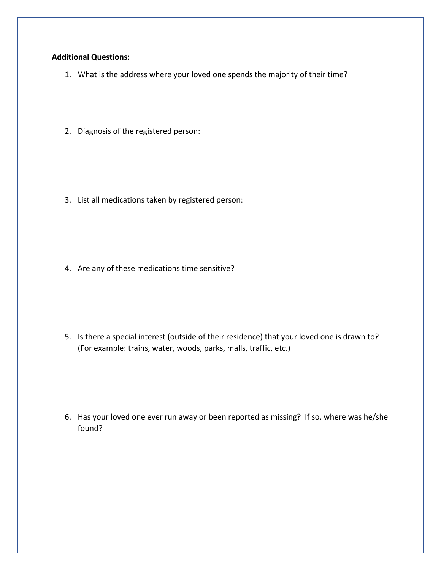## **Additional Questions:**

- 1. What is the address where your loved one spends the majority of their time?
- 2. Diagnosis of the registered person:

3. List all medications taken by registered person:

4. Are any of these medications time sensitive?

5. Is there a special interest (outside of their residence) that your loved one is drawn to? (For example: trains, water, woods, parks, malls, traffic, etc.)

6. Has your loved one ever run away or been reported as missing? If so, where was he/she found?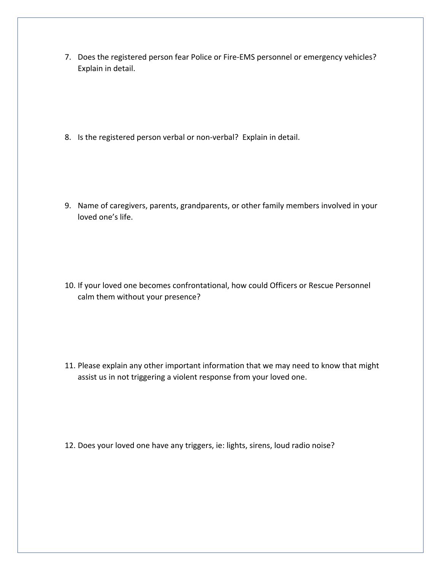7. Does the registered person fear Police or Fire-EMS personnel or emergency vehicles? Explain in detail.

8. Is the registered person verbal or non-verbal? Explain in detail.

9. Name of caregivers, parents, grandparents, or other family members involved in your loved one's life.

10. If your loved one becomes confrontational, how could Officers or Rescue Personnel calm them without your presence?

11. Please explain any other important information that we may need to know that might assist us in not triggering a violent response from your loved one.

12. Does your loved one have any triggers, ie: lights, sirens, loud radio noise?